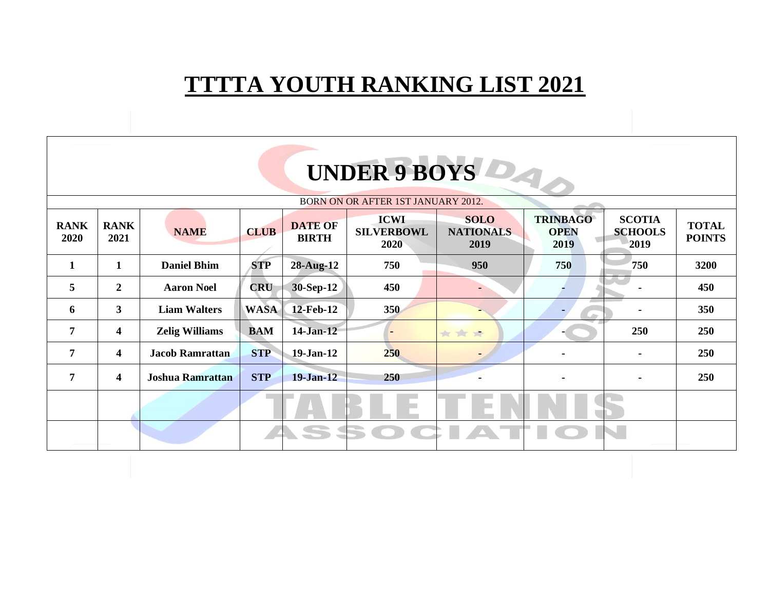## **TTTTA YOUTH RANKING LIST 2021**

| UNDER 9 BOYS                       |                     |                         |             |                                |                                          |                                         |                                        |                                         |                               |  |  |
|------------------------------------|---------------------|-------------------------|-------------|--------------------------------|------------------------------------------|-----------------------------------------|----------------------------------------|-----------------------------------------|-------------------------------|--|--|
| BORN ON OR AFTER 1ST JANUARY 2012. |                     |                         |             |                                |                                          |                                         |                                        |                                         |                               |  |  |
| <b>RANK</b><br>2020                | <b>RANK</b><br>2021 | <b>NAME</b>             | <b>CLUB</b> | <b>DATE OF</b><br><b>BIRTH</b> | <b>ICWI</b><br><b>SILVERBOWL</b><br>2020 | <b>SOLO</b><br><b>NATIONALS</b><br>2019 | <b>TRINBAGO</b><br><b>OPEN</b><br>2019 | <b>SCOTIA</b><br><b>SCHOOLS</b><br>2019 | <b>TOTAL</b><br><b>POINTS</b> |  |  |
| 1                                  | 1                   | <b>Daniel Bhim</b>      | <b>STP</b>  | 28-Aug-12                      | 750                                      | 950                                     | 750                                    | 750                                     | 3200                          |  |  |
| $\overline{5}$                     | $\overline{2}$      | <b>Aaron Noel</b>       | <b>CRU</b>  | 30-Sep-12                      | 450                                      |                                         |                                        |                                         | 450                           |  |  |
| 6                                  | 3 <sup>1</sup>      | <b>Liam Walters</b>     | <b>WASA</b> | 12-Feb-12                      | 350                                      |                                         |                                        |                                         | 350                           |  |  |
| $\overline{7}$                     | 4                   | <b>Zelig Williams</b>   | <b>BAM</b>  | 14-Jan-12                      |                                          | ***                                     |                                        | 250                                     | 250                           |  |  |
| 7                                  | 4                   | <b>Jacob Ramrattan</b>  | <b>STP</b>  | 19-Jan-12                      | 250                                      |                                         |                                        | ۰                                       | 250                           |  |  |
| $\overline{7}$                     | 4                   | <b>Joshua Ramrattan</b> | <b>STP</b>  | $19-Jan-12$                    | 250                                      |                                         |                                        | ۰.                                      | 250                           |  |  |
|                                    |                     |                         |             |                                |                                          |                                         |                                        |                                         |                               |  |  |
|                                    |                     |                         |             | SS SI                          |                                          |                                         |                                        |                                         |                               |  |  |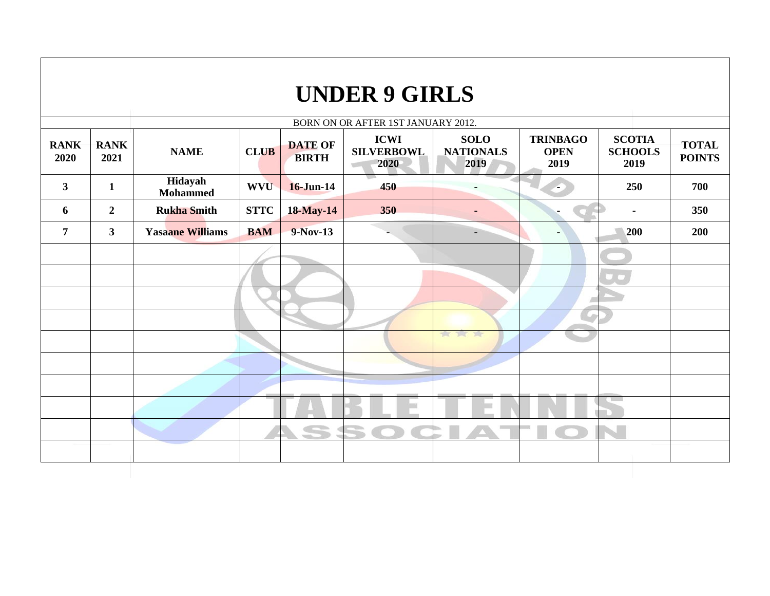## **UNDER 9 GIRLS**

| BORN ON OR AFTER 1ST JANUARY 2012. |                     |                            |             |                                |                                          |                                         |                                        |                                         |                               |  |  |
|------------------------------------|---------------------|----------------------------|-------------|--------------------------------|------------------------------------------|-----------------------------------------|----------------------------------------|-----------------------------------------|-------------------------------|--|--|
| <b>RANK</b><br>2020                | <b>RANK</b><br>2021 | <b>NAME</b>                | <b>CLUB</b> | <b>DATE OF</b><br><b>BIRTH</b> | <b>ICWI</b><br><b>SILVERBOWL</b><br>2020 | <b>SOLO</b><br><b>NATIONALS</b><br>2019 | <b>TRINBAGO</b><br><b>OPEN</b><br>2019 | <b>SCOTIA</b><br><b>SCHOOLS</b><br>2019 | <b>TOTAL</b><br><b>POINTS</b> |  |  |
| $\mathbf{3}$                       | $\mathbf{1}$        | Hidayah<br><b>Mohammed</b> | <b>WVU</b>  | 16-Jun-14                      | 450                                      |                                         | ÷                                      | 250                                     | 700                           |  |  |
| 6                                  | $\overline{2}$      | <b>Rukha Smith</b>         | <b>STTC</b> | <b>18-May-14</b>               | 350                                      | $\blacksquare$                          |                                        | $\blacksquare$                          | 350                           |  |  |
| $\overline{7}$                     | $\mathbf{3}$        | <b>Yasaane Williams</b>    | <b>BAM</b>  | 9-Nov-13                       |                                          | $\blacksquare$                          | ٠                                      | 200                                     | 200                           |  |  |
|                                    |                     |                            |             |                                |                                          |                                         |                                        |                                         |                               |  |  |
|                                    |                     |                            |             |                                |                                          |                                         |                                        |                                         |                               |  |  |
|                                    |                     |                            |             |                                |                                          |                                         |                                        |                                         |                               |  |  |
|                                    |                     |                            |             |                                |                                          |                                         |                                        |                                         |                               |  |  |
|                                    |                     |                            |             |                                |                                          | 食工室                                     |                                        |                                         |                               |  |  |
|                                    |                     |                            |             |                                |                                          |                                         |                                        |                                         |                               |  |  |
|                                    |                     |                            |             |                                |                                          |                                         |                                        |                                         |                               |  |  |
|                                    |                     |                            |             |                                |                                          |                                         |                                        |                                         |                               |  |  |
|                                    |                     |                            |             | S                              |                                          |                                         |                                        |                                         |                               |  |  |
|                                    |                     |                            |             |                                |                                          |                                         |                                        |                                         |                               |  |  |
|                                    |                     |                            |             |                                |                                          |                                         |                                        |                                         |                               |  |  |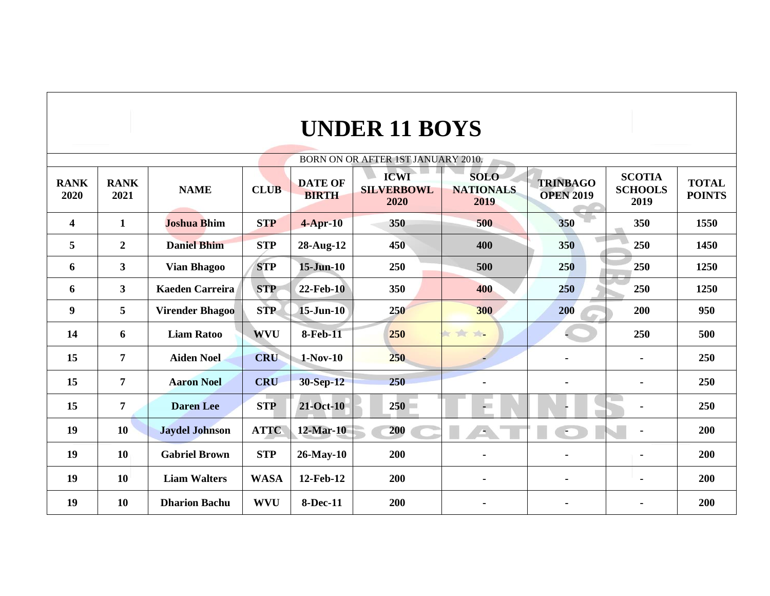| <b>UNDER 11 BOYS</b> |
|----------------------|
|----------------------|

| BORN ON OR AFTER 1ST JANUARY 2010. |                     |                        |             |                                |                                          |                                         |                                     |                                         |                               |  |  |  |
|------------------------------------|---------------------|------------------------|-------------|--------------------------------|------------------------------------------|-----------------------------------------|-------------------------------------|-----------------------------------------|-------------------------------|--|--|--|
| <b>RANK</b><br>2020                | <b>RANK</b><br>2021 | <b>NAME</b>            | <b>CLUB</b> | <b>DATE OF</b><br><b>BIRTH</b> | <b>ICWI</b><br><b>SILVERBOWL</b><br>2020 | <b>SOLO</b><br><b>NATIONALS</b><br>2019 | <b>TRINBAGO</b><br><b>OPEN 2019</b> | <b>SCOTIA</b><br><b>SCHOOLS</b><br>2019 | <b>TOTAL</b><br><b>POINTS</b> |  |  |  |
| $\overline{\mathbf{4}}$            | $\mathbf{1}$        | <b>Joshua Bhim</b>     | <b>STP</b>  | $4$ -Apr-10                    | 350                                      | 500                                     | 350                                 | 350                                     | 1550                          |  |  |  |
| 5                                  | $\overline{2}$      | <b>Daniel Bhim</b>     | <b>STP</b>  | 28-Aug-12                      | 450                                      | 400                                     | 350                                 | 250                                     | 1450                          |  |  |  |
| 6                                  | $\mathbf{3}$        | <b>Vian Bhagoo</b>     | <b>STP</b>  | $15$ -Jun- $10$                | 250                                      | 500                                     | <b>250</b>                          | 250                                     | 1250                          |  |  |  |
| 6                                  | $\mathbf{3}$        | <b>Kaeden Carreira</b> | <b>STP</b>  | <b>22-Feb-10</b>               | 350                                      | 400                                     | 250                                 | 250                                     | 1250                          |  |  |  |
| 9                                  | 5                   | <b>Virender Bhagoo</b> | <b>STP</b>  | $15$ -Jun- $10$                | 250                                      | 300                                     | 200                                 | 200                                     | 950                           |  |  |  |
| 14                                 | 6                   | <b>Liam Ratoo</b>      | <b>WVU</b>  | <b>8-Feb-11</b>                | 250                                      | 女女女                                     |                                     | 250                                     | 500                           |  |  |  |
| 15                                 | $\overline{7}$      | <b>Aiden Noel</b>      | <b>CRU</b>  | $1-Nov-10$                     | 250                                      |                                         |                                     | $\blacksquare$                          | 250                           |  |  |  |
| 15                                 | $\overline{7}$      | <b>Aaron Noel</b>      | <b>CRU</b>  | 30-Sep-12                      | 250                                      |                                         | $\blacksquare$                      | $\blacksquare$                          | 250                           |  |  |  |
| 15                                 | $\overline{7}$      | <b>Daren</b> Lee       | <b>STP</b>  | <b>21-Oct-10</b>               | 250                                      | $-1$                                    |                                     | $\blacksquare$                          | 250                           |  |  |  |
| 19                                 | 10                  | <b>Jaydel Johnson</b>  | <b>ATTC</b> | 12-Mar-10                      | 200                                      | ٠                                       | €                                   | $\blacksquare$                          | 200                           |  |  |  |
| 19                                 | 10                  | <b>Gabriel Brown</b>   | <b>STP</b>  | 26-May-10                      | 200                                      |                                         |                                     | $\blacksquare$                          | 200                           |  |  |  |
| 19                                 | 10                  | <b>Liam Walters</b>    | <b>WASA</b> | 12-Feb-12                      | 200                                      |                                         |                                     | $\blacksquare$                          | 200                           |  |  |  |
| 19                                 | 10                  | <b>Dharion Bachu</b>   | <b>WVU</b>  | <b>8-Dec-11</b>                | 200                                      |                                         |                                     |                                         | 200                           |  |  |  |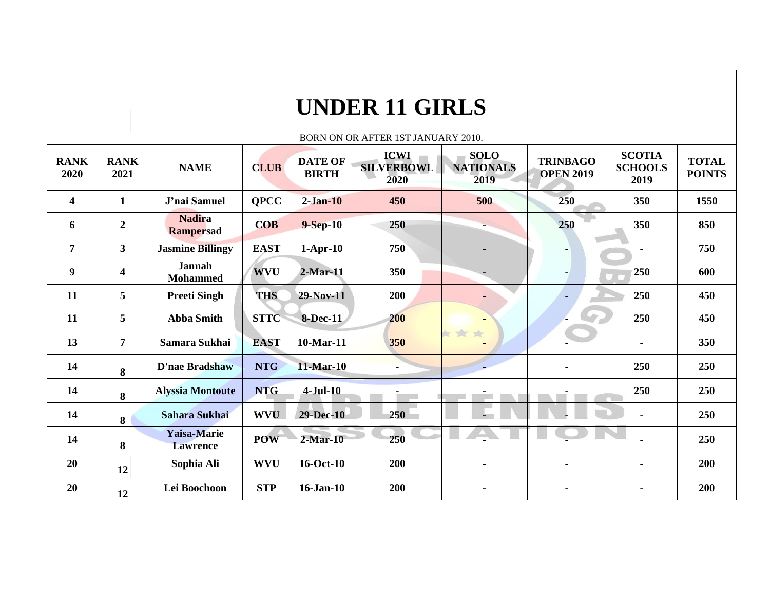|                         |                         |                                   |             |                                | <b>UNDER 11 GIRLS</b>                    |                                         |                                     |                                         |                               |
|-------------------------|-------------------------|-----------------------------------|-------------|--------------------------------|------------------------------------------|-----------------------------------------|-------------------------------------|-----------------------------------------|-------------------------------|
|                         |                         |                                   |             |                                | BORN ON OR AFTER 1ST JANUARY 2010.       |                                         |                                     |                                         |                               |
| <b>RANK</b><br>2020     | <b>RANK</b><br>2021     | <b>NAME</b>                       | <b>CLUB</b> | <b>DATE OF</b><br><b>BIRTH</b> | <b>ICWI</b><br><b>SILVERBOWL</b><br>2020 | <b>SOLO</b><br><b>NATIONALS</b><br>2019 | <b>TRINBAGO</b><br><b>OPEN 2019</b> | <b>SCOTIA</b><br><b>SCHOOLS</b><br>2019 | <b>TOTAL</b><br><b>POINTS</b> |
| $\overline{\mathbf{4}}$ | 1                       | J'nai Samuel                      | <b>OPCC</b> | $2-Jan-10$                     | 450                                      | 500                                     | 250                                 | 350                                     | 1550                          |
| 6                       | $\boldsymbol{2}$        | <b>Nadira</b><br><b>Rampersad</b> | <b>COB</b>  | $9-Sep-10$                     | 250                                      |                                         | 250                                 | 350                                     | 850                           |
| $\overline{7}$          | 3                       | <b>Jasmine Billingy</b>           | <b>EAST</b> | $1-Apr-10$                     | 750                                      |                                         | ۰                                   |                                         | 750                           |
| $\boldsymbol{9}$        | $\overline{\mathbf{4}}$ | <b>Jannah</b><br><b>Mohammed</b>  | <b>WVU</b>  | $2$ -Mar-11                    | 350                                      |                                         | $\blacksquare$                      | 250                                     | 600                           |
| 11                      | 5                       | <b>Preeti Singh</b>               | <b>THS</b>  | 29-Nov-11                      | 200                                      | $\blacksquare$                          | $\blacksquare$                      | 250                                     | 450                           |
| 11                      | 5                       | <b>Abba Smith</b>                 | <b>STTC</b> | <b>8-Dec-11</b>                | 200                                      |                                         | L)                                  | 250                                     | 450                           |
| 13                      | $\overline{7}$          | Samara Sukhai                     | <b>EAST</b> | 10-Mar-11                      | 350                                      | 7. 1                                    |                                     | $\blacksquare$                          | 350                           |
| 14                      | 8                       | <b>D'nae Bradshaw</b>             | <b>NTG</b>  | 11-Mar-10                      |                                          |                                         | $\blacksquare$                      | 250                                     | 250                           |
| 14                      | 8                       | <b>Alyssia Montoute</b>           | <b>NTG</b>  | $4-Jul-10$                     |                                          |                                         |                                     | 250                                     | 250                           |
| 14                      | 8                       | Sahara Sukhai                     | <b>WVU</b>  | <b>29-Dec-10</b>               | 250                                      |                                         |                                     |                                         | 250                           |
| 14                      | 8                       | Yaisa-Marie<br><b>Lawrence</b>    | <b>POW</b>  | $2-Mar-10$                     | 250                                      |                                         |                                     |                                         | 250                           |
| 20                      | 12                      | Sophia Ali                        | <b>WVU</b>  | 16-Oct-10                      | 200                                      |                                         | $\blacksquare$                      | $\blacksquare$                          | 200                           |
| 20                      | 12                      | Lei Boochoon                      | <b>STP</b>  | $16$ -Jan- $10$                | 200                                      |                                         | $\blacksquare$                      | $\blacksquare$                          | 200                           |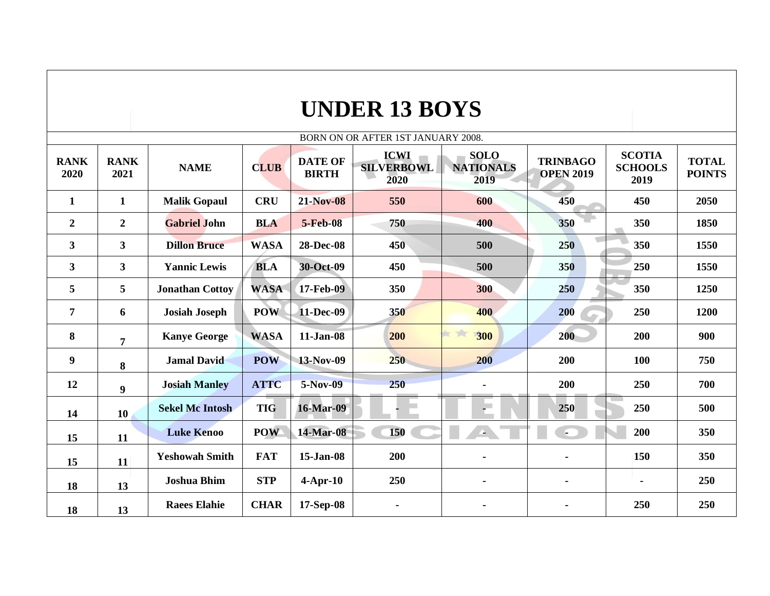|                     | <b>UNDER 13 BOYS</b> |                        |             |                                |                                          |                                         |                                     |                                         |                               |  |  |  |  |
|---------------------|----------------------|------------------------|-------------|--------------------------------|------------------------------------------|-----------------------------------------|-------------------------------------|-----------------------------------------|-------------------------------|--|--|--|--|
|                     |                      |                        |             |                                | BORN ON OR AFTER 1ST JANUARY 2008.       |                                         |                                     |                                         |                               |  |  |  |  |
| <b>RANK</b><br>2020 | <b>RANK</b><br>2021  | <b>NAME</b>            | <b>CLUB</b> | <b>DATE OF</b><br><b>BIRTH</b> | <b>ICWI</b><br><b>SILVERBOWL</b><br>2020 | <b>SOLO</b><br><b>NATIONALS</b><br>2019 | <b>TRINBAGO</b><br><b>OPEN 2019</b> | <b>SCOTIA</b><br><b>SCHOOLS</b><br>2019 | <b>TOTAL</b><br><b>POINTS</b> |  |  |  |  |
| $\mathbf{1}$        | $\mathbf{1}$         | <b>Malik Gopaul</b>    | <b>CRU</b>  | <b>21-Nov-08</b>               | 550                                      | 600                                     | 450                                 | 450                                     | 2050                          |  |  |  |  |
| $\boldsymbol{2}$    | $\boldsymbol{2}$     | <b>Gabriel John</b>    | <b>BLA</b>  | <b>5-Feb-08</b>                | 750                                      | 400                                     | 350                                 | 350                                     | 1850                          |  |  |  |  |
| 3                   | $\mathbf{3}$         | <b>Dillon Bruce</b>    | <b>WASA</b> | 28-Dec-08                      | 450                                      | 500                                     | 250                                 | 350                                     | 1550                          |  |  |  |  |
| 3                   | $\mathbf{3}$         | <b>Yannic Lewis</b>    | <b>BLA</b>  | 30-Oct-09                      | 450                                      | 500                                     | 350                                 | 250                                     | 1550                          |  |  |  |  |
| 5                   | 5                    | <b>Jonathan Cottoy</b> | <b>WASA</b> | 17-Feb-09                      | 350                                      | 300                                     | 250                                 | 350                                     | 1250                          |  |  |  |  |
| $\overline{7}$      | 6                    | <b>Josiah Joseph</b>   | <b>POW</b>  | 11-Dec-09                      | 350                                      | 400                                     | 200<br>×                            | 250                                     | 1200                          |  |  |  |  |
| 8                   | $\overline{7}$       | <b>Kanye George</b>    | <b>WASA</b> | $11-Jan-08$                    | 200                                      | ir tir<br>300                           | 200                                 | 200                                     | 900                           |  |  |  |  |
| 9                   | 8                    | <b>Jamal David</b>     | <b>POW</b>  | 13-Nov-09                      | 250                                      | 200                                     | 200                                 | 100                                     | 750                           |  |  |  |  |
| 12                  | 9                    | <b>Josiah Manley</b>   | <b>ATTC</b> | 5-Nov-09                       | 250                                      |                                         | 200                                 | 250                                     | 700                           |  |  |  |  |
| 14                  | 10                   | <b>Sekel Mc Intosh</b> | <b>TIG</b>  | <b>16-Mar-09</b>               |                                          |                                         | 250                                 | 250                                     | 500                           |  |  |  |  |
| 15                  | 11                   | <b>Luke Kenoo</b>      | <b>POW</b>  | 14-Mar-08                      | 150                                      | $\Delta$ .                              | $\sim$                              | 200                                     | 350                           |  |  |  |  |
| 15                  | 11                   | <b>Yeshowah Smith</b>  | <b>FAT</b>  | 15-Jan-08                      | 200                                      |                                         | $\blacksquare$                      | 150                                     | 350                           |  |  |  |  |
| 18                  | 13                   | <b>Joshua Bhim</b>     | <b>STP</b>  | $4$ -Apr-10                    | 250                                      | $\blacksquare$                          | $\blacksquare$                      | $\blacksquare$                          | 250                           |  |  |  |  |
| 18                  | 13                   | <b>Raees Elahie</b>    | <b>CHAR</b> | 17-Sep-08                      | $\blacksquare$                           |                                         | ۰                                   | 250                                     | 250                           |  |  |  |  |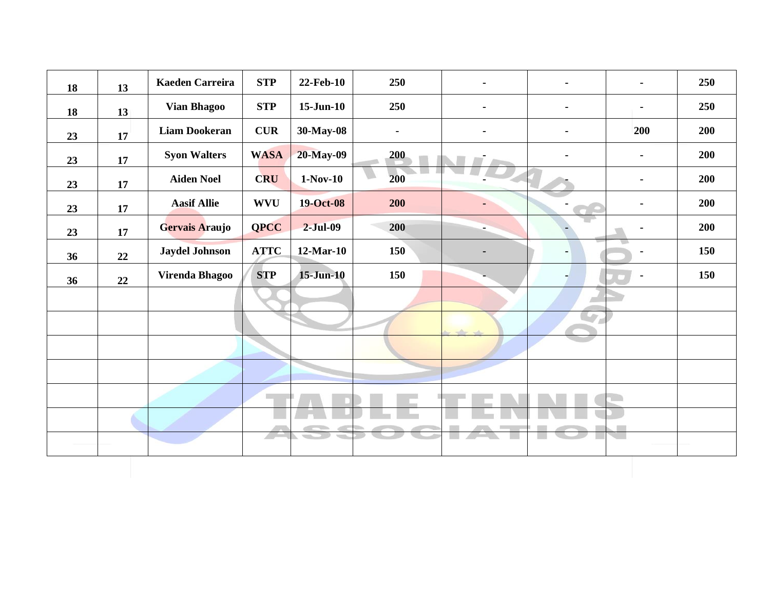| 18 | 13 | <b>Kaeden Carreira</b> | <b>STP</b>  | 22-Feb-10       | 250 |                 |                | ٠              | 250 |
|----|----|------------------------|-------------|-----------------|-----|-----------------|----------------|----------------|-----|
| 18 | 13 | <b>Vian Bhagoo</b>     | <b>STP</b>  | $15$ -Jun- $10$ | 250 | $\blacksquare$  | Ξ.             | ٠              | 250 |
| 23 | 17 | <b>Liam Dookeran</b>   | <b>CUR</b>  | 30-May-08       | ٠   |                 |                | <b>200</b>     | 200 |
| 23 | 17 | <b>Syon Walters</b>    | <b>WASA</b> | 20-May-09       | 200 |                 |                | ٠              | 200 |
| 23 | 17 | <b>Aiden Noel</b>      | <b>CRU</b>  | $1-Nov-10$      | 200 |                 |                | ۰.             | 200 |
| 23 | 17 | <b>Aasif Allie</b>     | <b>WVU</b>  | 19-Oct-08       | 200 |                 |                | ۰              | 200 |
| 23 | 17 | Gervais Araujo         | <b>QPCC</b> | $2-Jul-09$      | 200 |                 |                |                | 200 |
| 36 | 22 | <b>Jaydel Johnson</b>  | <b>ATTC</b> | 12-Mar-10       | 150 |                 | $\blacksquare$ | ٠              | 150 |
| 36 | 22 | <b>Virenda Bhagoo</b>  | <b>STP</b>  | $15 - Jun-10$   | 150 |                 |                | $\blacksquare$ | 150 |
|    |    |                        |             |                 |     | w               |                |                |     |
|    |    |                        |             |                 |     | $\Delta \omega$ | in.            |                |     |
|    |    |                        |             |                 |     |                 |                |                |     |
|    |    |                        |             |                 |     |                 |                |                |     |
|    |    |                        |             |                 |     |                 |                |                |     |
|    |    |                        |             |                 |     |                 |                |                |     |
|    |    |                        |             |                 |     |                 |                |                |     |
|    |    |                        |             |                 |     |                 |                |                |     |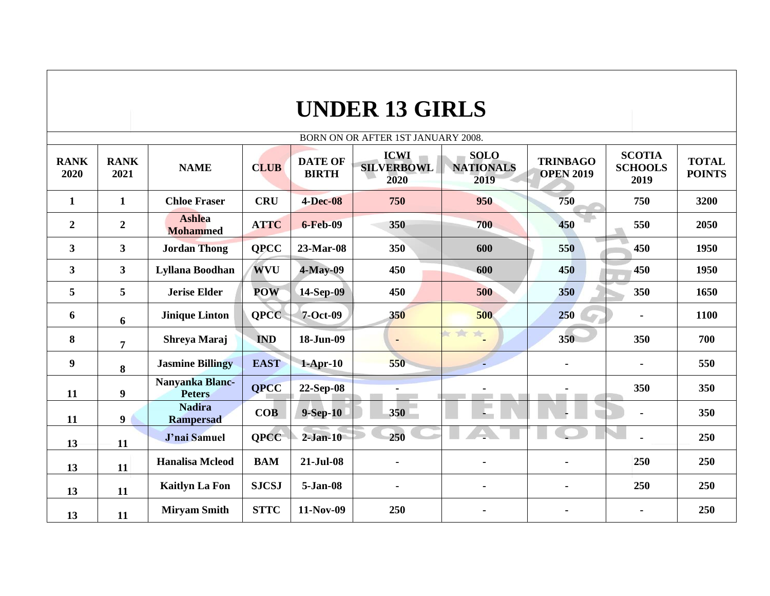|                         | <b>UNDER 13 GIRLS</b> |                                   |              |                                |                                          |                                         |                                     |                                         |                               |  |  |  |
|-------------------------|-----------------------|-----------------------------------|--------------|--------------------------------|------------------------------------------|-----------------------------------------|-------------------------------------|-----------------------------------------|-------------------------------|--|--|--|
|                         |                       |                                   |              |                                | BORN ON OR AFTER 1ST JANUARY 2008.       |                                         |                                     |                                         |                               |  |  |  |
| <b>RANK</b><br>2020     | <b>RANK</b><br>2021   | <b>NAME</b>                       | <b>CLUB</b>  | <b>DATE OF</b><br><b>BIRTH</b> | <b>ICWI</b><br><b>SILVERBOWL</b><br>2020 | <b>SOLO</b><br><b>NATIONALS</b><br>2019 | <b>TRINBAGO</b><br><b>OPEN 2019</b> | <b>SCOTIA</b><br><b>SCHOOLS</b><br>2019 | <b>TOTAL</b><br><b>POINTS</b> |  |  |  |
| $\mathbf{1}$            | $\mathbf{1}$          | <b>Chloe Fraser</b>               | <b>CRU</b>   | <b>4-Dec-08</b>                | 750                                      | 950                                     | 750                                 | 750                                     | 3200                          |  |  |  |
| $\boldsymbol{2}$        | $\boldsymbol{2}$      | <b>Ashlea</b><br><b>Mohammed</b>  | <b>ATTC</b>  | <b>6-Feb-09</b>                | 350                                      | 700                                     | 450                                 | 550                                     | 2050                          |  |  |  |
| $\overline{\mathbf{3}}$ | $\mathbf{3}$          | <b>Jordan Thong</b>               | <b>OPCC</b>  | 23-Mar-08                      | 350                                      | 600                                     | 550                                 | 450                                     | 1950                          |  |  |  |
| $\overline{\mathbf{3}}$ | $\mathbf{3}$          | Lyllana Boodhan                   | <b>WVU</b>   | $4$ -May-09                    | 450                                      | 600                                     | 450                                 | 450                                     | 1950                          |  |  |  |
| 5                       | 5                     | <b>Jerise Elder</b>               | <b>POW</b>   | 14-Sep-09                      | 450                                      | 500                                     | 350                                 | 350                                     | 1650                          |  |  |  |
| 6                       | 6                     | <b>Jinique Linton</b>             | <b>OPCC</b>  | 7-Oct-09                       | 350                                      | 500                                     | 250<br>a.                           |                                         | 1100                          |  |  |  |
| 8                       | $\overline{7}$        | Shreya Maraj                      | <b>IND</b>   | 18-Jun-09                      | $\blacksquare$                           | xx<br>$\frac{1}{2\sqrt{3}}$             | 350                                 | 350                                     | 700                           |  |  |  |
| 9                       | 8                     | <b>Jasmine Billingy</b>           | <b>EAST</b>  | $1-Apr-10$                     | 550                                      |                                         | $\blacksquare$                      | $\overline{a}$                          | 550                           |  |  |  |
| 11                      | $\boldsymbol{9}$      | Nanyanka Blanc-<br><b>Peters</b>  | <b>QPCC</b>  | 22-Sep-08                      | $\blacksquare$                           |                                         |                                     | 350                                     | 350                           |  |  |  |
| 11                      | 9                     | <b>Nadira</b><br><b>Rampersad</b> | COB          | $9-Sep-10$                     | 350                                      |                                         |                                     |                                         | 350                           |  |  |  |
| 13                      | 11                    | J'nai Samuel                      | <b>OPCC</b>  | $2-Jan-10$                     | 250                                      |                                         |                                     |                                         | 250                           |  |  |  |
| 13                      | 11                    | <b>Hanalisa Mcleod</b>            | <b>BAM</b>   | 21-Jul-08                      | $\blacksquare$                           |                                         | $\blacksquare$                      | 250                                     | 250                           |  |  |  |
| 13                      | 11                    | <b>Kaitlyn La Fon</b>             | <b>SJCSJ</b> | 5-Jan-08                       | $\blacksquare$                           | $\blacksquare$                          | $\blacksquare$                      | 250                                     | 250                           |  |  |  |
| 13                      | 11                    | <b>Miryam Smith</b>               | <b>STTC</b>  | 11-Nov-09                      | 250                                      |                                         | $\blacksquare$                      | $\blacksquare$                          | 250                           |  |  |  |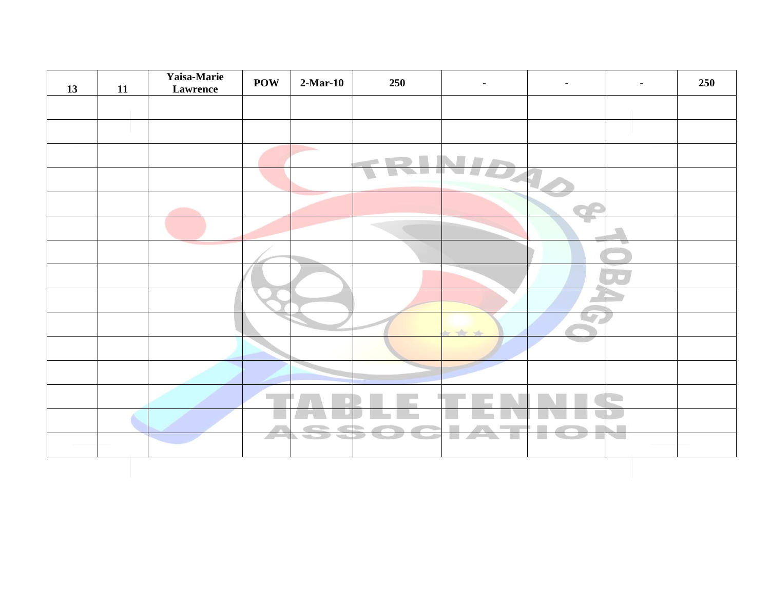| 13 | 11 | Yaisa-Marie<br>Lawrence | <b>POW</b> | $2-Mar-10$         | 250 | $\blacksquare$                                                            |   | ۰ | 250 |
|----|----|-------------------------|------------|--------------------|-----|---------------------------------------------------------------------------|---|---|-----|
|    |    |                         |            |                    |     |                                                                           |   |   |     |
|    |    |                         |            |                    |     |                                                                           |   |   |     |
|    |    |                         |            | <b>The Company</b> |     |                                                                           |   |   |     |
|    |    |                         |            |                    |     |                                                                           |   |   |     |
|    |    |                         |            |                    |     |                                                                           |   |   |     |
|    |    |                         |            |                    |     |                                                                           | w |   |     |
|    |    |                         |            |                    |     |                                                                           |   |   |     |
|    |    |                         |            |                    |     |                                                                           |   |   |     |
|    |    |                         |            |                    |     |                                                                           |   |   |     |
|    |    |                         |            |                    |     | $\frac{1}{2}$                                                             | w |   |     |
|    |    |                         |            |                    |     |                                                                           |   |   |     |
|    |    |                         |            |                    |     |                                                                           |   |   |     |
|    |    |                         |            |                    |     |                                                                           |   |   |     |
|    |    |                         |            |                    |     |                                                                           |   |   |     |
|    |    |                         | 27         |                    |     | $\mathcal{L}_{\text{max}}$<br>$\overline{\phantom{a}}$<br><b>Contract</b> | 黒 |   |     |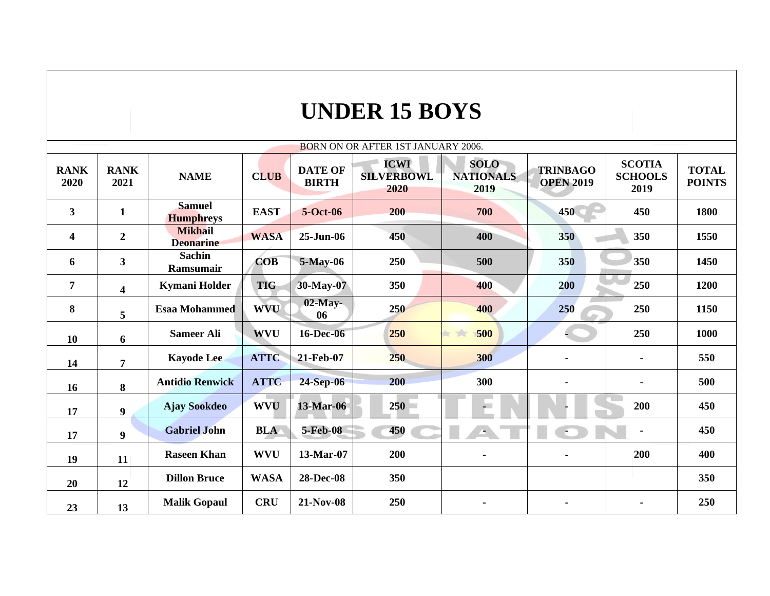## **UNDER 15 BOYS**

| <b>BORN ON OR AFTER 1ST JANUARY 2006.</b> |                         |                                    |             |                                |                                          |                                         |                                     |                                         |                               |  |  |  |
|-------------------------------------------|-------------------------|------------------------------------|-------------|--------------------------------|------------------------------------------|-----------------------------------------|-------------------------------------|-----------------------------------------|-------------------------------|--|--|--|
| <b>RANK</b><br>2020                       | <b>RANK</b><br>2021     | <b>NAME</b>                        | <b>CLUB</b> | <b>DATE OF</b><br><b>BIRTH</b> | <b>ICWI</b><br><b>SILVERBOWL</b><br>2020 | <b>SOLO</b><br><b>NATIONALS</b><br>2019 | <b>TRINBAGO</b><br><b>OPEN 2019</b> | <b>SCOTIA</b><br><b>SCHOOLS</b><br>2019 | <b>TOTAL</b><br><b>POINTS</b> |  |  |  |
| $\mathbf{3}$                              | $\mathbf{1}$            | <b>Samuel</b><br><b>Humphreys</b>  | <b>EAST</b> | 5-Oct-06                       | 200                                      | 700                                     | 450                                 | 450                                     | 1800                          |  |  |  |
| $\overline{\mathbf{4}}$                   | $\boldsymbol{2}$        | <b>Mikhail</b><br><b>Deonarine</b> | <b>WASA</b> | $25 - Jun-06$                  | 450                                      | 400                                     | 350                                 | 350                                     | 1550                          |  |  |  |
| 6                                         | $\mathbf{3}$            | <b>Sachin</b><br><b>Ramsumair</b>  | <b>COB</b>  | 5-May-06                       | 250                                      | 500                                     | 350                                 | 350                                     | 1450                          |  |  |  |
| $\overline{7}$                            | $\overline{\mathbf{4}}$ | <b>Kymani Holder</b>               | <b>TIG</b>  | 30-May-07                      | 350                                      | 400                                     | 200                                 | 250                                     | 1200                          |  |  |  |
| 8                                         | 5                       | <b>Esaa Mohammed</b>               | <b>WVU</b>  | $02$ -May-<br>06               | 250                                      | 400                                     | 250                                 | 250                                     | 1150                          |  |  |  |
| 10                                        | 6                       | <b>Sameer Ali</b>                  | <b>WVU</b>  | 16-Dec-06                      | 250                                      | 500<br><b>NEW</b>                       |                                     | 250                                     | 1000                          |  |  |  |
| 14                                        | $\overline{7}$          | <b>Kayode Lee</b>                  | <b>ATTC</b> | 21-Feb-07                      | 250                                      | 300                                     |                                     | $\blacksquare$                          | 550                           |  |  |  |
| 16                                        | 8                       | <b>Antidio Renwick</b>             | <b>ATTC</b> | 24-Sep-06                      | 200                                      | 300                                     |                                     | $\blacksquare$                          | 500                           |  |  |  |
| 17                                        | 9                       | <b>Ajay Sookdeo</b>                | <b>WVU</b>  | 13-Mar-06                      | 250                                      | $-1$                                    |                                     | 200                                     | 450                           |  |  |  |
| 17                                        | 9                       | <b>Gabriel John</b>                | <b>BLA</b>  | 5-Feb-08                       | 450                                      | ٠                                       | $\bullet$                           | $\blacksquare$                          | 450                           |  |  |  |
| 19                                        | 11                      | <b>Raseen Khan</b>                 | <b>WVU</b>  | 13-Mar-07                      | 200                                      |                                         |                                     | 200                                     | 400                           |  |  |  |
| 20                                        | 12                      | <b>Dillon Bruce</b>                | <b>WASA</b> | <b>28-Dec-08</b>               | 350                                      |                                         |                                     |                                         | 350                           |  |  |  |
| 23                                        | 13                      | <b>Malik Gopaul</b>                | <b>CRU</b>  | 21-Nov-08                      | 250                                      | $\blacksquare$                          |                                     | ۰                                       | 250                           |  |  |  |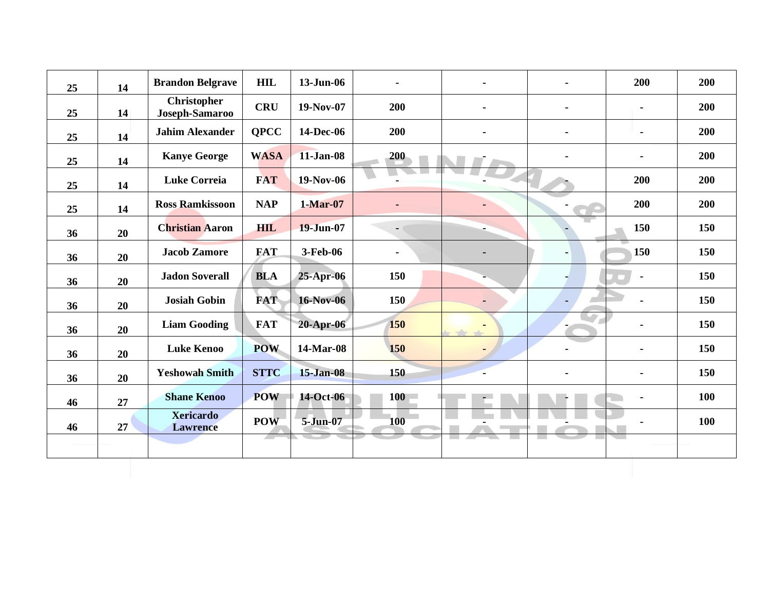| 25 | 14 | <b>Brandon Belgrave</b>              | <b>HIL</b>  | 13-Jun-06        |            | $\blacksquare$ | $\blacksquare$ | 200            | 200 |
|----|----|--------------------------------------|-------------|------------------|------------|----------------|----------------|----------------|-----|
| 25 | 14 | <b>Christopher</b><br>Joseph-Samaroo | <b>CRU</b>  | 19-Nov-07        | 200        | $\blacksquare$ | $\blacksquare$ | $\blacksquare$ | 200 |
| 25 | 14 | <b>Jahim Alexander</b>               | <b>QPCC</b> | 14-Dec-06        | 200        | $\blacksquare$ | $\blacksquare$ | $\blacksquare$ | 200 |
| 25 | 14 | <b>Kanye George</b>                  | <b>WASA</b> | 11-Jan-08        | 200        |                | $\blacksquare$ | $\blacksquare$ | 200 |
| 25 | 14 | <b>Luke Correia</b>                  | <b>FAT</b>  | 19-Nov-06        |            |                |                | 200            | 200 |
| 25 | 14 | <b>Ross Ramkissoon</b>               | <b>NAP</b>  | $1-Mar-07$       |            |                |                | 200            | 200 |
| 36 | 20 | <b>Christian Aaron</b>               | <b>HIL</b>  | 19-Jun-07        | - 1        |                |                | 150            | 150 |
| 36 | 20 | <b>Jacob Zamore</b>                  | <b>FAT</b>  | 3-Feb-06         | ٠          |                | $\blacksquare$ | 150            | 150 |
| 36 | 20 | <b>Jadon Soverall</b>                | <b>BLA</b>  | $25-Apr-06$      | 150        |                |                | $\blacksquare$ | 150 |
| 36 | 20 | <b>Josiah Gobin</b>                  | <b>FAT</b>  | <b>16-Nov-06</b> | 150        | $\blacksquare$ | $\blacksquare$ |                | 150 |
| 36 | 20 | <b>Liam Gooding</b>                  | <b>FAT</b>  | $20$ -Apr- $06$  | 150        |                |                |                | 150 |
| 36 | 20 | <b>Luke Kenoo</b>                    | <b>POW</b>  | 14-Mar-08        | 150        |                |                | $\blacksquare$ | 150 |
| 36 | 20 | <b>Yeshowah Smith</b>                | <b>STTC</b> | <b>15-Jan-08</b> | 150        |                | $\blacksquare$ | $\blacksquare$ | 150 |
| 46 | 27 | <b>Shane Kenoo</b>                   | <b>POW</b>  | 14-Oct-06        | 100        |                |                |                | 100 |
| 46 | 27 | <b>Xericardo</b><br><b>Lawrence</b>  | <b>POW</b>  | 5-Jun-07         | <b>100</b> |                |                |                | 100 |
|    |    |                                      |             |                  |            |                |                |                |     |
|    |    |                                      |             |                  |            |                |                |                |     |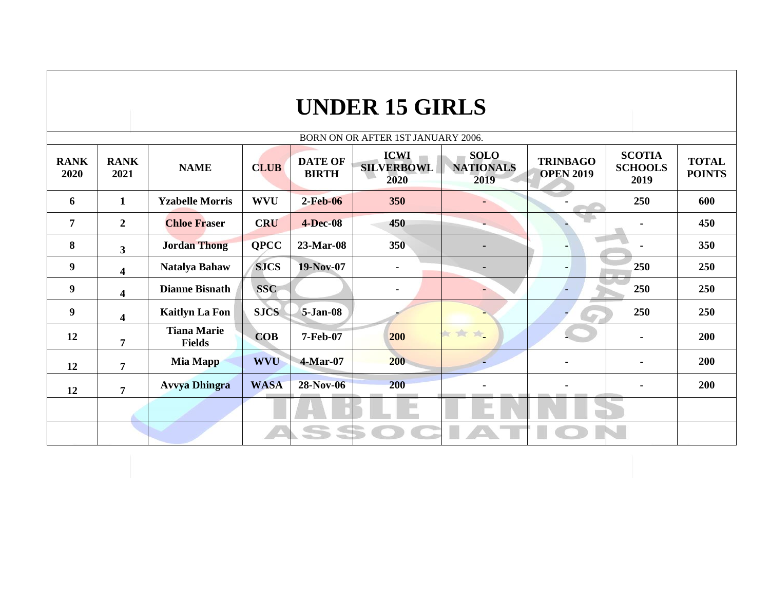|                     |                         |                                     |             |                                | <b>UNDER 15 GIRLS</b>                    |                                         |                                     |                                         |                               |
|---------------------|-------------------------|-------------------------------------|-------------|--------------------------------|------------------------------------------|-----------------------------------------|-------------------------------------|-----------------------------------------|-------------------------------|
|                     |                         |                                     |             |                                | BORN ON OR AFTER 1ST JANUARY 2006.       |                                         |                                     |                                         |                               |
| <b>RANK</b><br>2020 | <b>RANK</b><br>2021     | <b>NAME</b>                         | <b>CLUB</b> | <b>DATE OF</b><br><b>BIRTH</b> | <b>ICWI</b><br><b>SILVERBOWL</b><br>2020 | <b>SOLO</b><br><b>NATIONALS</b><br>2019 | <b>TRINBAGO</b><br><b>OPEN 2019</b> | <b>SCOTIA</b><br><b>SCHOOLS</b><br>2019 | <b>TOTAL</b><br><b>POINTS</b> |
| 6                   | $\mathbf{1}$            | <b>Yzabelle Morris</b>              | <b>WVU</b>  | $2-Feb-06$                     | 350                                      |                                         |                                     | 250                                     | 600                           |
| $\overline{7}$      | $\overline{2}$          | <b>Chloe Fraser</b>                 | <b>CRU</b>  | <b>4-Dec-08</b>                | 450                                      |                                         |                                     | $\blacksquare$                          | 450                           |
| 8                   | $\overline{\mathbf{3}}$ | <b>Jordan Thong</b>                 | <b>QPCC</b> | 23-Mar-08                      | 350                                      |                                         |                                     |                                         | 350                           |
| 9                   | $\overline{\mathbf{4}}$ | <b>Natalya Bahaw</b>                | <b>SJCS</b> | 19-Nov-07                      |                                          |                                         |                                     | 250                                     | 250                           |
| $\boldsymbol{9}$    | $\overline{\mathbf{4}}$ | <b>Dianne Bisnath</b>               | <b>SSC</b>  |                                | $\blacksquare$                           |                                         |                                     | 250                                     | 250                           |
| 9                   | $\overline{\mathbf{4}}$ | <b>Kaitlyn La Fon</b>               | <b>SJCS</b> | <b>5-Jan-08</b>                |                                          |                                         | <b>AP</b>                           | 250                                     | 250                           |
| 12                  | $\overline{7}$          | <b>Tiana Marie</b><br><b>Fields</b> | <b>COB</b>  | 7-Feb-07                       | 200                                      | 女女女                                     |                                     | $\blacksquare$                          | 200                           |
| 12                  | $\overline{7}$          | Mia Mapp                            | <b>WVU</b>  | 4-Mar-07                       | 200                                      |                                         | $\blacksquare$                      | $\blacksquare$                          | 200                           |
| 12                  | $\overline{7}$          | <b>Avvya Dhingra</b>                | <b>WASA</b> | 28-Nov-06                      | 200                                      |                                         |                                     |                                         | 200                           |
|                     |                         |                                     |             |                                |                                          |                                         |                                     |                                         |                               |
|                     |                         |                                     |             | <b>SSS</b>                     |                                          |                                         |                                     | V.                                      |                               |
|                     |                         |                                     |             |                                |                                          |                                         |                                     |                                         |                               |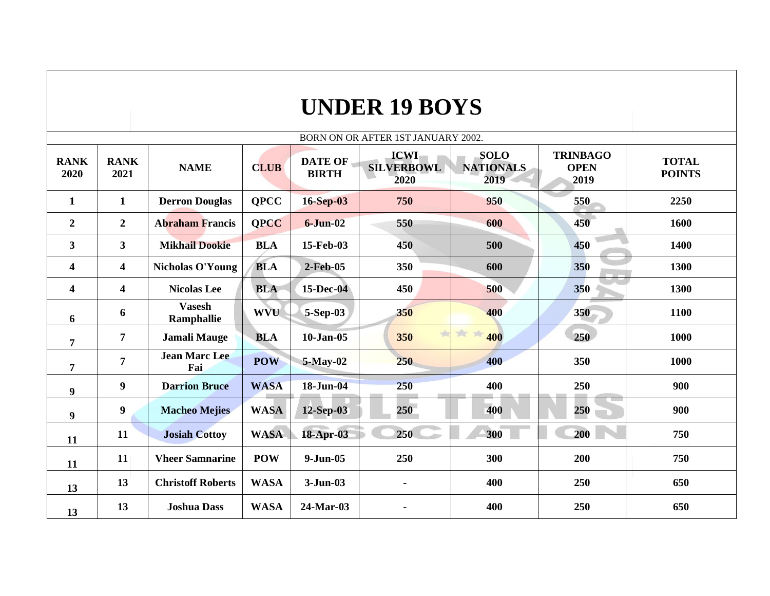| <b>UNDER 19 BOYS</b> |                                           |                             |             |                                |                                          |                                         |                                        |                               |  |  |  |  |
|----------------------|-------------------------------------------|-----------------------------|-------------|--------------------------------|------------------------------------------|-----------------------------------------|----------------------------------------|-------------------------------|--|--|--|--|
|                      | <b>BORN ON OR AFTER 1ST JANUARY 2002.</b> |                             |             |                                |                                          |                                         |                                        |                               |  |  |  |  |
| <b>RANK</b><br>2020  | <b>RANK</b><br>2021                       | <b>NAME</b>                 | <b>CLUB</b> | <b>DATE OF</b><br><b>BIRTH</b> | <b>ICWI</b><br><b>SILVERBOWL</b><br>2020 | <b>SOLO</b><br><b>NATIONALS</b><br>2019 | <b>TRINBAGO</b><br><b>OPEN</b><br>2019 | <b>TOTAL</b><br><b>POINTS</b> |  |  |  |  |
| $\mathbf{1}$         | $\mathbf{1}$                              | <b>Derron Douglas</b>       | <b>QPCC</b> | $16-Sep-03$                    | 750                                      | 950                                     | 550                                    | 2250                          |  |  |  |  |
| $\overline{2}$       | $\boldsymbol{2}$                          | <b>Abraham Francis</b>      | <b>OPCC</b> | $6 - Jun-02$                   | 550                                      | 600                                     | 450                                    | 1600                          |  |  |  |  |
| $\mathbf{3}$         | $\overline{\mathbf{3}}$                   | <b>Mikhail Dookie</b>       | <b>BLA</b>  | 15-Feb-03                      | 450                                      | 500                                     | 450                                    | 1400                          |  |  |  |  |
| 4                    | 4                                         | <b>Nicholas O'Young</b>     | <b>BLA</b>  | $2-Feb-05$                     | 350                                      | 600                                     | 350                                    | 1300                          |  |  |  |  |
| 4                    | 4                                         | <b>Nicolas Lee</b>          | <b>BLA</b>  | 15-Dec-04                      | 450                                      | 500                                     | 350                                    | 1300                          |  |  |  |  |
| 6                    | 6                                         | <b>Vasesh</b><br>Ramphallie | <b>WVU</b>  | 5-Sep-03                       | 350                                      | 400                                     | 350                                    | 1100                          |  |  |  |  |
| $\overline{7}$       | $\overline{7}$                            | <b>Jamali Mauge</b>         | <b>BLA</b>  | $10 - Jan-05$                  | $\frac{1}{2}$<br>350                     | 女女<br>400                               | 250                                    | 1000                          |  |  |  |  |
| $\overline{7}$       | $\overline{7}$                            | <b>Jean Marc Lee</b><br>Fai | <b>POW</b>  | $5-May-02$                     | 250                                      | 400                                     | 350                                    | 1000                          |  |  |  |  |
| $\boldsymbol{9}$     | 9                                         | <b>Darrion Bruce</b>        | <b>WASA</b> | 18-Jun-04                      | 250                                      | 400                                     | 250                                    | 900                           |  |  |  |  |
| $\boldsymbol{9}$     | $\boldsymbol{9}$                          | <b>Macheo Mejies</b>        | <b>WASA</b> | 12-Sep-03                      | 250                                      | 400                                     | 250                                    | 900                           |  |  |  |  |
| 11                   | 11                                        | <b>Josiah Cottoy</b>        | <b>WASA</b> | 18-Apr-03                      | 250                                      | 300                                     | 200                                    | 750                           |  |  |  |  |
| 11                   | 11                                        | <b>Vheer Samnarine</b>      | <b>POW</b>  | $9-Jun-05$                     | 250                                      | 300                                     | 200                                    | 750                           |  |  |  |  |
| 13                   | 13                                        | <b>Christoff Roberts</b>    | <b>WASA</b> | $3-Jun-03$                     | ۰                                        | 400                                     | 250                                    | 650                           |  |  |  |  |
| 13                   | 13                                        | <b>Joshua Dass</b>          | <b>WASA</b> | 24-Mar-03                      | $\blacksquare$                           | 400                                     | 250                                    | 650                           |  |  |  |  |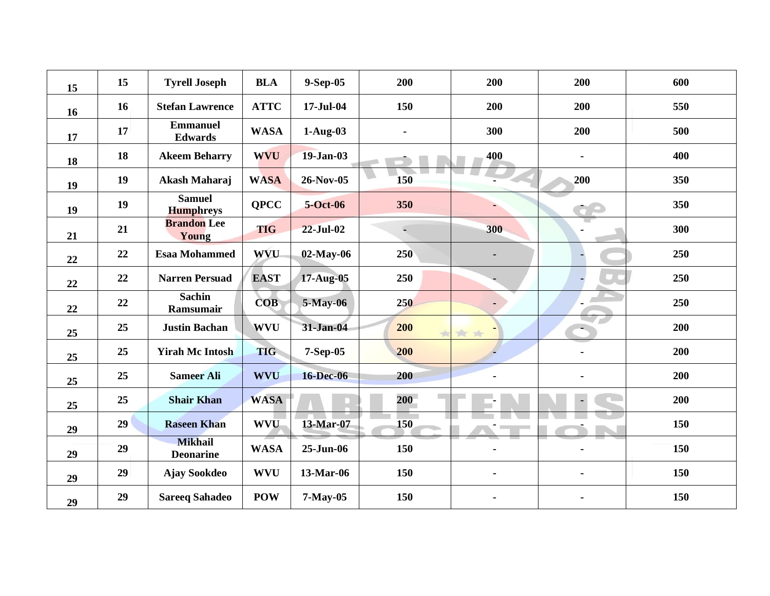| 15 | 15 | <b>Tyrell Joseph</b>               | <b>BLA</b>  | 9-Sep-05         | 200 | 200            | 200            | 600 |
|----|----|------------------------------------|-------------|------------------|-----|----------------|----------------|-----|
| 16 | 16 | <b>Stefan Lawrence</b>             | <b>ATTC</b> | 17-Jul-04        | 150 | 200            | 200            | 550 |
| 17 | 17 | <b>Emmanuel</b><br><b>Edwards</b>  | <b>WASA</b> | $1-Aug-03$       |     | 300            | 200            | 500 |
| 18 | 18 | <b>Akeem Beharry</b>               | <b>WVU</b>  | 19-Jan-03        |     | 400            |                | 400 |
| 19 | 19 | Akash Maharaj                      | <b>WASA</b> | 26-Nov-05        | 150 |                | 200            | 350 |
| 19 | 19 | <b>Samuel</b><br><b>Humphreys</b>  | <b>QPCC</b> | 5-Oct-06         | 350 |                |                | 350 |
| 21 | 21 | <b>Brandon</b> Lee<br>Young        | <b>TIG</b>  | <b>22-Jul-02</b> | E,  | 300            |                | 300 |
| 22 | 22 | <b>Esaa Mohammed</b>               | <b>WVU</b>  | $02$ -May-06     | 250 | $\blacksquare$ |                | 250 |
| 22 | 22 | <b>Narren Persuad</b>              | <b>EAST</b> | 17-Aug-05        | 250 |                |                | 250 |
| 22 | 22 | <b>Sachin</b><br>Ramsumair         | <b>COB</b>  | 5-May-06         | 250 |                |                | 250 |
| 25 | 25 | <b>Justin Bachan</b>               | <b>WVU</b>  | 31-Jan-04        | 200 | $\rightarrow$  |                | 200 |
| 25 | 25 | <b>Yirah Mc Intosh</b>             | <b>TIG</b>  | 7-Sep-05         | 200 |                |                | 200 |
| 25 | 25 | <b>Sameer Ali</b>                  | <b>WVU</b>  | <b>16-Dec-06</b> | 200 | $\blacksquare$ | $\blacksquare$ | 200 |
| 25 | 25 | <b>Shair Khan</b>                  | <b>WASA</b> |                  | 200 |                | ÷,             | 200 |
| 29 | 29 | <b>Raseen Khan</b>                 | <b>WVU</b>  | 13-Mar-07        | 150 |                |                | 150 |
| 29 | 29 | <b>Mikhail</b><br><b>Deonarine</b> | <b>WASA</b> | $25 - Jun-06$    | 150 | ۰              |                | 150 |
| 29 | 29 | <b>Ajay Sookdeo</b>                | <b>WVU</b>  | 13-Mar-06        | 150 | $\blacksquare$ |                | 150 |
| 29 | 29 | <b>Sareeq Sahadeo</b>              | <b>POW</b>  | $7-May-05$       | 150 |                |                | 150 |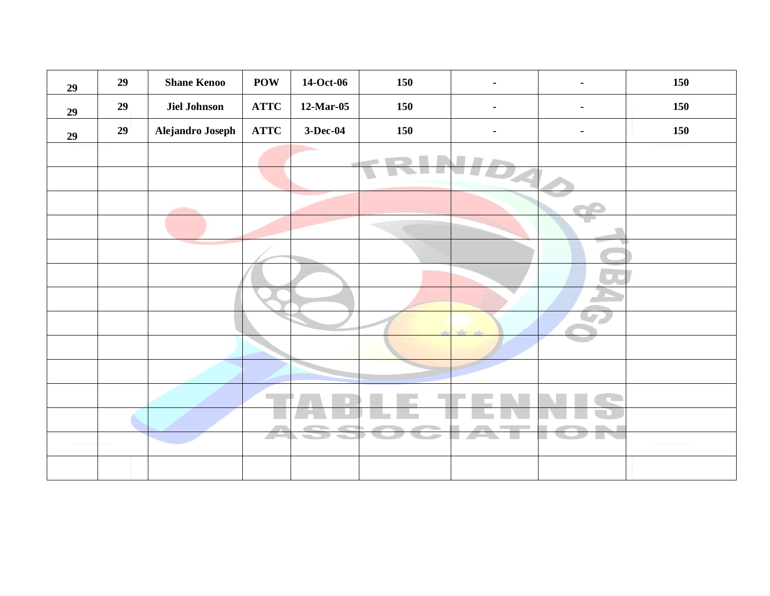| 29 | 29 | <b>Shane Kenoo</b>  | <b>POW</b>  | 14-Oct-06  | 150 |                                                                     | 150 |
|----|----|---------------------|-------------|------------|-----|---------------------------------------------------------------------|-----|
| 29 | 29 | <b>Jiel Johnson</b> | <b>ATTC</b> | 12-Mar-05  | 150 | $\blacksquare$                                                      | 150 |
| 29 | 29 | Alejandro Joseph    | <b>ATTC</b> | $3-Dec-04$ | 150 | $\blacksquare$                                                      | 150 |
|    |    |                     |             |            |     |                                                                     |     |
|    |    |                     |             |            |     |                                                                     |     |
|    |    |                     |             |            |     |                                                                     |     |
|    |    |                     |             |            |     |                                                                     |     |
|    |    |                     |             |            |     |                                                                     |     |
|    |    |                     |             |            |     |                                                                     |     |
|    |    |                     |             |            |     |                                                                     |     |
|    |    |                     |             |            |     | $\frac{1}{2} \left( \frac{1}{2} \right) \left( \frac{1}{2} \right)$ |     |
|    |    |                     |             |            |     |                                                                     |     |
|    |    |                     |             |            |     |                                                                     |     |
|    |    |                     |             |            |     |                                                                     |     |
|    |    |                     |             |            |     |                                                                     |     |
|    |    |                     |             |            |     |                                                                     |     |
|    |    |                     |             |            |     |                                                                     |     |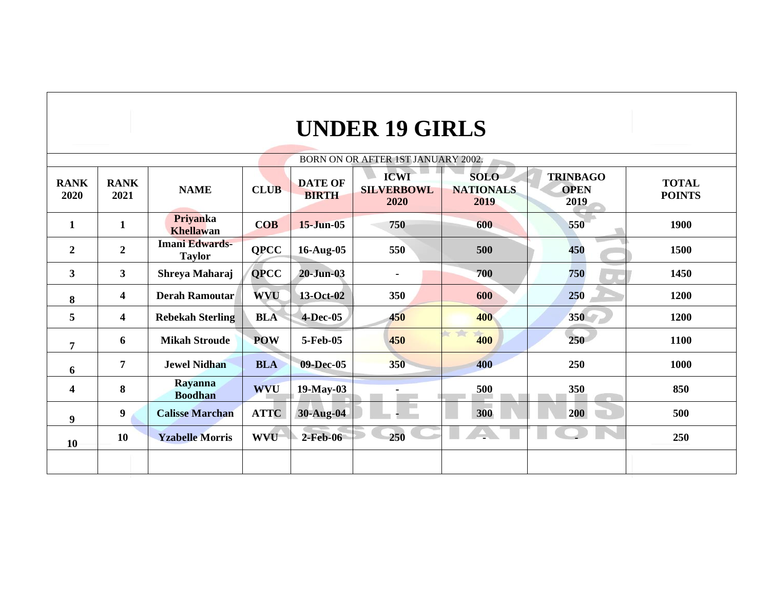## **UNDER 19 GIRLS**

|                         | BORN ON OR AFTER 1ST JANUARY 2002. |                                        |             |                                |                                          |                                         |                                        |                               |  |  |  |
|-------------------------|------------------------------------|----------------------------------------|-------------|--------------------------------|------------------------------------------|-----------------------------------------|----------------------------------------|-------------------------------|--|--|--|
| <b>RANK</b><br>2020     | <b>RANK</b><br>2021                | <b>NAME</b>                            | <b>CLUB</b> | <b>DATE OF</b><br><b>BIRTH</b> | <b>ICWI</b><br><b>SILVERBOWL</b><br>2020 | <b>SOLO</b><br><b>NATIONALS</b><br>2019 | <b>TRINBAGO</b><br><b>OPEN</b><br>2019 | <b>TOTAL</b><br><b>POINTS</b> |  |  |  |
| $\mathbf{1}$            | $\mathbf{1}$                       | Priyanka<br><b>Khellawan</b>           | <b>COB</b>  | $15 - Jun-05$                  | 750                                      | 600                                     | 550                                    | 1900                          |  |  |  |
| $\overline{2}$          | $\overline{2}$                     | <b>Imani Edwards-</b><br><b>Taylor</b> | <b>QPCC</b> | 16-Aug-05                      | 550                                      | 500                                     | 450                                    | 1500                          |  |  |  |
| $\mathbf{3}$            | $\mathbf{3}$                       | Shreya Maharaj                         | <b>QPCC</b> | $20 - Jun-03$                  |                                          | 700                                     | 750                                    | 1450                          |  |  |  |
| 8                       | $\overline{\mathbf{4}}$            | <b>Derah Ramoutar</b>                  | WVU         | 13-Oct-02                      | 350                                      | 600                                     | 250                                    | 1200                          |  |  |  |
| 5                       | $\overline{\mathbf{4}}$            | <b>Rebekah Sterling</b>                | <b>BLA</b>  | 4-Dec-05                       | 450                                      | 400                                     | 350                                    | 1200                          |  |  |  |
| $\overline{7}$          | 6                                  | <b>Mikah Stroude</b>                   | <b>POW</b>  | 5-Feb-05                       | 450                                      | $\mathcal{L}$<br>400                    | 250                                    | 1100                          |  |  |  |
| 6                       | $\overline{7}$                     | <b>Jewel Nidhan</b>                    | <b>BLA</b>  | 09-Dec-05                      | 350                                      | 400                                     | 250                                    | 1000                          |  |  |  |
| $\overline{\mathbf{4}}$ | 8                                  | <b>Rayanna</b><br><b>Boodhan</b>       | <b>WVU</b>  | 19-May-03                      | ۰                                        | 500                                     | 350                                    | 850                           |  |  |  |
| $\boldsymbol{9}$        | $\boldsymbol{9}$                   | <b>Calisse Marchan</b>                 | <b>ATTC</b> | 30-Aug-04                      |                                          | 300                                     | 200                                    | 500                           |  |  |  |
| 10                      | 10                                 | <b>Yzabelle Morris</b>                 | <b>WVU</b>  | 2-Feb-06                       | 250                                      |                                         |                                        | 250                           |  |  |  |
|                         |                                    |                                        |             |                                |                                          |                                         |                                        |                               |  |  |  |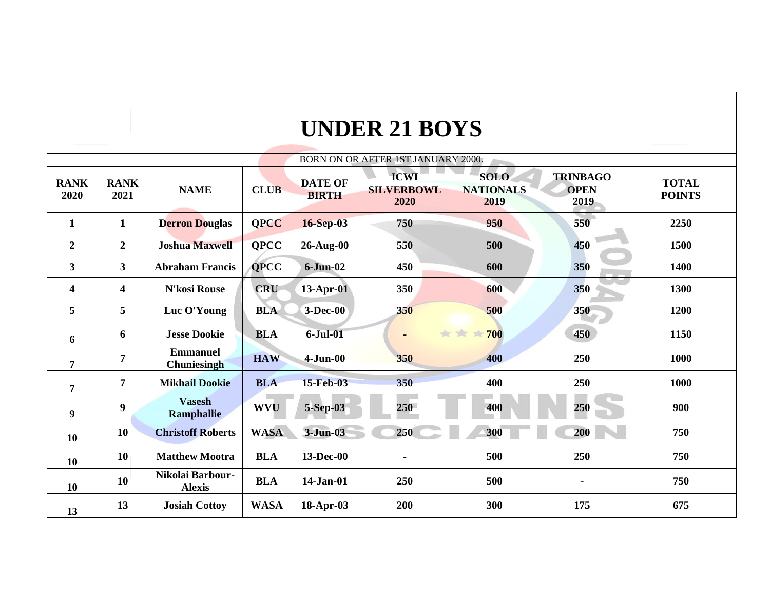| BORN ON OR AFTER 1ST JANUARY 2000. |                         |                                   |             |                                |                                          |                                         |                                        |                               |  |
|------------------------------------|-------------------------|-----------------------------------|-------------|--------------------------------|------------------------------------------|-----------------------------------------|----------------------------------------|-------------------------------|--|
| <b>RANK</b><br>2020                | <b>RANK</b><br>2021     | <b>NAME</b>                       | <b>CLUB</b> | <b>DATE OF</b><br><b>BIRTH</b> | <b>ICWI</b><br><b>SILVERBOWL</b><br>2020 | <b>SOLO</b><br><b>NATIONALS</b><br>2019 | <b>TRINBAGO</b><br><b>OPEN</b><br>2019 | <b>TOTAL</b><br><b>POINTS</b> |  |
| $\mathbf{1}$                       | $\mathbf{1}$            | <b>Derron Douglas</b>             | <b>QPCC</b> | 16-Sep-03                      | 750                                      | 950                                     | 550                                    | 2250                          |  |
| $\boldsymbol{2}$                   | $\boldsymbol{2}$        | <b>Joshua Maxwell</b>             | <b>QPCC</b> | 26-Aug-00                      | 550                                      | 500                                     | 450                                    | 1500                          |  |
| $\overline{\mathbf{3}}$            | 3 <sup>1</sup>          | <b>Abraham Francis</b>            | <b>QPCC</b> | $6-Jun-02$                     | 450                                      | 600                                     | 350                                    | 1400                          |  |
| $\overline{\mathbf{4}}$            | $\overline{\mathbf{4}}$ | <b>N'kosi Rouse</b>               | <b>CRU</b>  | $13$ -Apr-01                   | 350                                      | 600                                     | 350                                    | 1300                          |  |
| 5                                  | 5                       | Luc O'Young                       | <b>BLA</b>  | $3-Dec-00$                     | 350                                      | 500                                     | 350                                    | 1200                          |  |
| 6                                  | 6                       | <b>Jesse Dookie</b>               | <b>BLA</b>  | $6 -$ Jul $-01$                |                                          | $\Rightarrow$<br>700                    | 450                                    | 1150                          |  |
| $\overline{7}$                     | $\overline{7}$          | <b>Emmanuel</b><br>Chuniesingh    | <b>HAW</b>  | $4-Jun-00$                     | 350                                      | 400                                     | 250                                    | 1000                          |  |
| 7                                  | $\overline{7}$          | <b>Mikhail Dookie</b>             | <b>BLA</b>  | 15-Feb-03                      | 350                                      | 400                                     | 250                                    | 1000                          |  |
| 9                                  | $\boldsymbol{9}$        | <b>Vasesh</b><br>Ramphallie       | <b>WVU</b>  | 5-Sep-03                       | 250                                      | 400                                     | 250                                    | 900                           |  |
| 10                                 | 10                      | <b>Christoff Roberts</b>          | <b>WASA</b> | 3-Jun-03                       | 250                                      | 300                                     | 200                                    | 750                           |  |
| 10                                 | 10                      | <b>Matthew Mootra</b>             | <b>BLA</b>  | 13-Dec-00                      |                                          | 500                                     | 250                                    | 750                           |  |
| 10                                 | 10                      | Nikolai Barbour-<br><b>Alexis</b> | <b>BLA</b>  | 14-Jan-01                      | 250                                      | 500                                     |                                        | 750                           |  |
| 13                                 | 13                      | <b>Josiah Cottoy</b>              | <b>WASA</b> | 18-Apr-03                      | 200                                      | 300                                     | 175                                    | 675                           |  |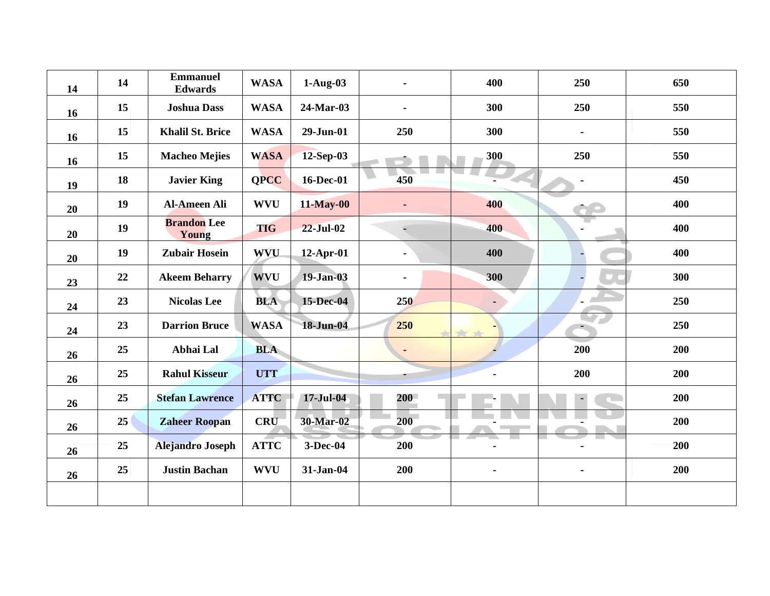| 14 | 14 | <b>Emmanuel</b><br><b>Edwards</b> | <b>WASA</b> | $1-Aug-03$       |     | 400            | 250            | 650 |
|----|----|-----------------------------------|-------------|------------------|-----|----------------|----------------|-----|
| 16 | 15 | <b>Joshua Dass</b>                | <b>WASA</b> | 24-Mar-03        |     | 300            | 250            | 550 |
| 16 | 15 | <b>Khalil St. Brice</b>           | <b>WASA</b> | 29-Jun-01        | 250 | 300            | $\blacksquare$ | 550 |
| 16 | 15 | <b>Macheo Mejies</b>              | <b>WASA</b> | 12-Sep-03        |     | 300            | 250            | 550 |
| 19 | 18 | <b>Javier King</b>                | <b>QPCC</b> | 16-Dec-01        | 450 |                |                | 450 |
| 20 | 19 | <b>Al-Ameen Ali</b>               | <b>WVU</b>  | <b>11-May-00</b> | ٠   | 400            |                | 400 |
| 20 | 19 | <b>Brandon</b> Lee<br>Young       | <b>TIG</b>  | $22$ -Jul-02     | C.  | 400            |                | 400 |
| 20 | 19 | <b>Zubair Hosein</b>              | <b>WVU</b>  | $12$ -Apr-01     |     | 400            |                | 400 |
| 23 | 22 | <b>Akeem Beharry</b>              | <b>WVU</b>  | $19-Jan-03$      |     | 300            |                | 300 |
| 24 | 23 | <b>Nicolas Lee</b>                | <b>BLA</b>  | 15-Dec-04        | 250 | $\blacksquare$ |                | 250 |
| 24 | 23 | <b>Darrion Bruce</b>              | <b>WASA</b> | 18-Jun-04        | 250 |                |                | 250 |
| 26 | 25 | Abhai Lal                         | <b>BLA</b>  |                  | ٠   |                | 200            | 200 |
| 26 | 25 | <b>Rahul Kisseur</b>              | <b>UTT</b>  |                  |     | $\blacksquare$ | 200            | 200 |
| 26 | 25 | <b>Stefan Lawrence</b>            | <b>ATTC</b> | 17-Jul-04        | 200 |                | $\frac{1}{2}$  | 200 |
| 26 | 25 | <b>Zaheer Roopan</b>              | <b>CRU</b>  | 30-Mar-02        | 200 |                |                | 200 |
| 26 | 25 | <b>Alejandro Joseph</b>           | <b>ATTC</b> | 3-Dec-04         | 200 |                |                | 200 |
| 26 | 25 | <b>Justin Bachan</b>              | <b>WVU</b>  | 31-Jan-04        | 200 | $\frac{1}{2}$  |                | 200 |
|    |    |                                   |             |                  |     |                |                |     |